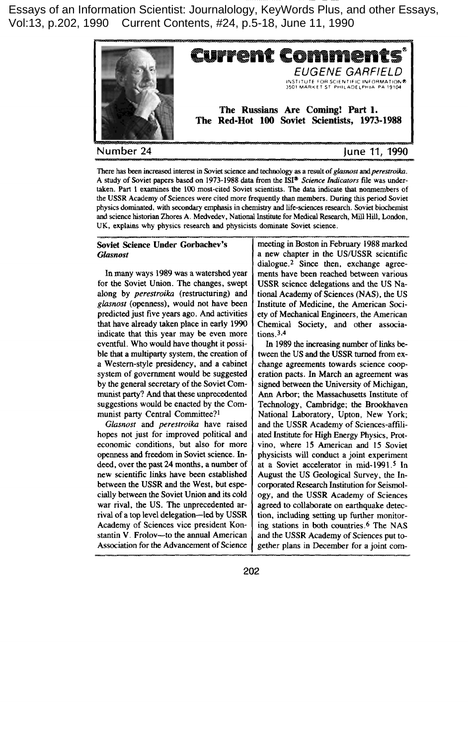Essays of an Information Scientist: Journalology, KeyWords Plus, and other Essays, Vol:13, p.202, 1990 Current Contents, #24, p.5-18, June 11, 1990



Current Commen EUGENE GARFIELD INSTITUTE FOR SCIENTIFIC INFORMATIOI<br>3501 MARKET ST. PHILADELPHIA: PA-1910 **The Russians Are Coming! Part 1.** The **Red-Hot 100 Soviet Scientists, 1973-1988**

# **Number 24 June 11, 1990**

**There has** beenincreased**interest in Soviet science and technology as a resolt of glasnost arrdperesrroika. A study of Soviet papers based on 1973-1988 data from the lS1°** *Science Indicators* **ffle was undertaken. Part 1 examines the lCO most-cited Soviet scientists. The data indicate that nonmembers of the USSR Academy of Sciences were cited more frequently than members. During this period Soviet physics** dominated, with secondary emphasis in chemistry and life-sciences research. Soviet biochemist **and** science**historian Zhores A. Medvedev, National Institute for Medical Research, Mill Hill, London, UK, explains why physics research and physicists dominate. Soviet science.**

## **Soviet Science Under Gorbachev's** *Gfusnost*

**In** many ways 1989 was a watershed year for the Soviet Union. The changes, swept along by *perestroika* (restructuring) and *glasnost (openness),* would not have been predicted just five years ago. And activities that have already taken place in early 1990 indicate that this year may be even more eventful. Who would have thought it possible that a multiparty system, the creation of a Western-style presidency, and a cabinet system of government would be suggested by the general secretary of the Soviet Communist party? And that these unprecedented suggestions would be enacted by the Communist party Central Committee?<sup>1</sup>

*Glasnost* and *perestroika* have raised hopes not just for improved political and economic conditions, but also for more openness and freedom in Soviet science, Indeed, over the past 24 months, a number of **new** scientific links have been established between the USSR and the West, but especially between the Soviet Union and its cold war rival, the US. The unprecedented arrival of a top level delegation-led by USSR Academy of Sciences vice president Konstantin V. Frolov—to the annual American Association for the Advancement of Science meeting in Boston in February 1988marked a new chapter in the US/USSR scientific  $dialogue.<sup>2</sup>$  Since then, exchange agreements have been reached between various USSR science delegations and the US National Academy of Sciences (NAS), the US Institute of Medicine, the American Society of Mechanical Engineers, the American Chemical Society, and other associations. **3,4**

**In** 1989 the increasing number of links between the US and the USSR turned from exchange agreements towards science cooperation pacts. In March an agreement was signed between the University of Michigan, Ann Arbor; the Massachusetts Institute of Technology, Cambridge; the Brookhaven National Laboratory, Upton, New York; and the USSR Academy of Sciences-afffliated Institute for High Energy Physics, Protvino, where 15 American and 15 Soviet physicists will conduct a joint experiment at a Soviet accelerator in mid-1991.<sup>5</sup> In August the US Geological Survey, the Incorporated Research Institution for Seismology, and the USSR Academy of Sciences agreed to collaborate on earthquake detection, including setting up further monitoring stations in both countries.6 The NAS and the USSR Academy of Sciences put together plans in December for a joint com-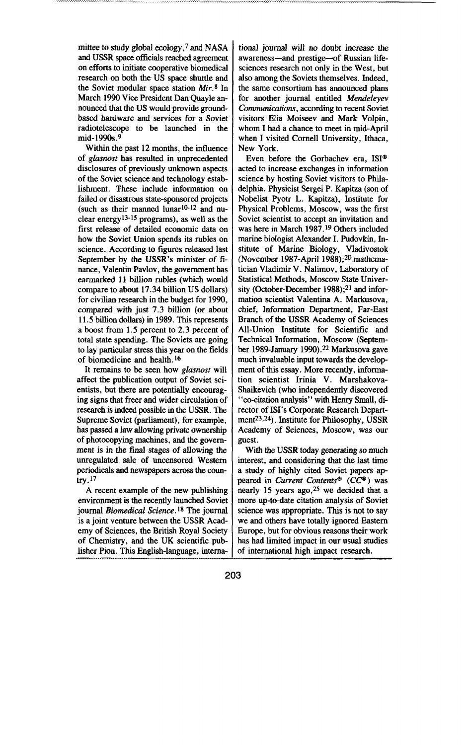mittee to study global ecology,  $7$  and NASA and USSR space officials reached agreement on efforts to initiate cooperative biomedical research on both the US space shuttle and the Soviet modular space station  $Mir.$ <sup>8</sup> In March 1990 Vice President Dan Quayle announced that the US would provide groundbased hardware and services for a Soviet radiotelescope to be launched in the mid- 1990s.9

Within the past 12 months, the influence of *glasnost* has resulted in unprecedented disclosures of previously unknown aspects of the Soviet science and technology establishment. These include information on failed or disastrous state-sponsored projects (such as their manned lunar $10-12$  and nuclear energy<sup>13-15</sup> programs), as well as the first release of detailed economic data on how the Soviet Union spends its rubles on science. According to figures released last September by the USSR's minister of finance, Valentin Pavlov, the government has earmarked 11 billion rubles (which would compare to about 17.34 billion US dollars) for civilian research in the budget for 1990, compared with just 7.3 billion (or about 11.5 billion dollars) in 1989. This represents a boost from 1.5 percent to 2.3 percent of total state spending. The Soviets are going to lay particular stress this year on the fields of biomedicine and health.<sup>16</sup>

It remains to be seen how glasnost will affect the publication output of Soviet scientists, but there are potentially encouraging signs that freer and wider circulation of research is indeed possible in the USSR. The Supreme Soviet (parliament), for example, has passed a iaw allowing private ownership of photocopying machines, and the goverment is in the final stages of allowing the unregulated sale of uncensored Western periodicals and newspapers across the country. $17$ 

A recent example of the new publishing environment is the recently launched Soviet journal *Biomedical Science. Is The* journal is a joint venture between the USSR Academy of Sciences, the British Royal Society of Chemistry, and the UK scientific publisher Pion. This English-language, interna-

tional journal will no doubt increase the awareness—and prestige—of Russian lifesciences research not only in the West, but also among the Soviets themselves. Indeed, the same consortium has announced plans for another journal entitled Mendeleyev *Communications, according to recent Soviet* visitors Elia Moiseev and Mark Volpin, whom I had a chance to meet in mid-April when I visited Cornell University, Ithaca, New York.

Even before the Gorbachev era,  $ISI^{\circledast}$ acted to increase exchanges in information science by hosting Soviet visitors to Philadelphia. Physicist Sergei P. Kapitza (son of Nobelist Pyotr L. Kapitza), Institute for Physical Problems, Moscow, was the first Soviet scientist to accept an invitation and was here in March 1987.<sup>19</sup> Others included marine biologist Alexander I. Pudovkin, Institute of Marine Biology, Vladivostok (November 1987-April 1988); $20$  mathematician Vladimir V. Nalimov, Laboratory of Statistical Methods, Moscow State University (October-December 1988); $21$  and information scientist Valentina A. Markusova, chief, Information Department, Far-East Branch of the USSR Academy of Sciences All-Union Institute for Scientific and Technical Information, Moscow (September 1989-January 1990).<sup>22</sup> Markusova gave much invaluable input towards the development of this essay. More recently, informa**tion** scientist Irinia V. Marshakova-Shaikevich (who independently discovered "co-citation analysis" with Henry Small, director of ISI's Corporate Research Department<sup>23,24</sup>). Institute for Philosophy, USSR Academy of Sciences, Moscow, was our guest.

With the USSR today generating so much interest, and considering that the last time a study of highly cited Soviet papers appeared in *Current Contents<sup>®</sup>* (*CC<sup>®</sup>*) was nearly 15 years ago,  $25$  we decided that a more up-to-date citation analysis of Soviet science was appropriate. This is not to say we and others have totally ignored Eastern Europe, but for obvious reasons their work has had limited impact in our usual studies of international high impact research.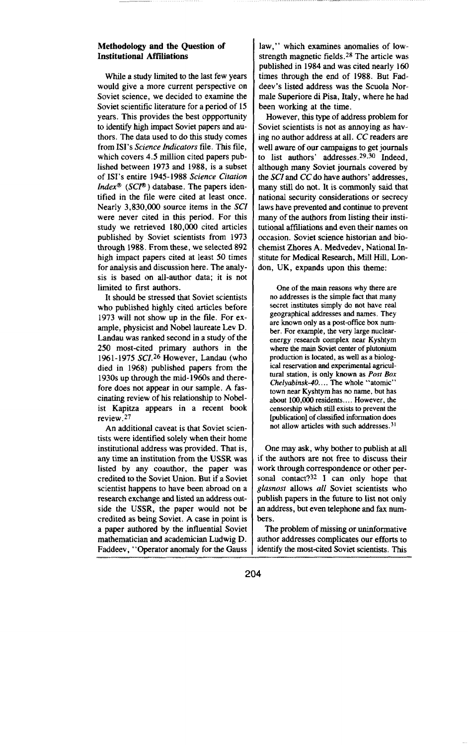#### **Methodology and the Question of Institutional Affiliations**

**While** a study limited to the last few years would give a more current perspective on Soviet science, we decided to examine the Soviet scientific literature for a period of 15 years. This provides the best opportunity to identify high impact Soviet papers and authors. The data used to do this study comes from ISI's Science *Indicators* file. This file, which covers 4.5 million cited papers published between 1973 and 1988, is **a subset** of 1S1'sentire 1945-1988 Science *Citafion [ndexm (SCP )* database. The papers identified in the file were cited at least once. Nearly 3,830,000 source items in the SCI were never cited in this period. For this study we rettieved 180,000 cited articles published by Soviet scientists from 1973 through 1988. From these, we selected 892 high impact papers cited at least 50 times for analysis and discussion here. The analysis is based on all-author data; it is not limited to first authors.

It should be stressed that Soviet scientists who published highly cited articles before 1973 will not show up in the file. For ex ample, physicist and Nobel laureate Lev D. Landau was ranked second in a study of the 250 most-cited primary authors in the 1961-1975 SCI.<sup>26</sup> However, Landau (who died in 1968) published papers from the 1930s up through the mid- 1960s and therefore does not appear in our sample. A fascinating review of his relationship to Nobelist Kapitza appears in a recent **book** review. 27

An additional caveat is that Soviet scientists were identified solely when their home institutional address was provided. That is, any time an institution from the USSR was listed by any coauthor, the paper was credited to the Soviet Union. But if a Soviet scientist happens to have been abroad on a research exchange and listed an address outside the USSR, the paper would not be credited as behg Soviet. A case in point is a paper authored by the influential Soviet mathematician and academician Ludwig D. Faddeev, "Operator anomaly for the Gauss law," which examines anomalies of lowstrength magnetic fields.  $28$  The article was published in 1984 and was cited nearly 160 times through the end of 1988. But Faddeev's listed address was the Scuoia Normale Superiore di Pisa, Italy, where he had been working at the time.

However, this type of address problem for Soviet scientists is not as amoying as having no author address at all. CC readers are well aware of our campaigns to get journals to list authors' addresses. $29,30$  Indeed. although many Soviet journals covered by the SCI and CC do have authors' addresses, many still do not. It is commonly said that national security considerations or secrecy laws have prevented and continue to prevent many of the authors from listing their institutional affdiations and even their names on occasion. Soviet science historian and biochemist Zhores A. Medvedev, National Institute for Medical Research, Mill Hill, London, UK, expands upon this theme:

**One of the main reasons why there are no addresses is the simple fact that many secret institutes simply do not have red geographical addresses and names. They are known only as a post-office box number. For example, the very large nuclearenergy research complex near Kyshtym where the main Soviet center of plutonium production is located, as well as a biological reservation and experimental agricultural station, is only known as Posr** *Box Chelyabinsk-40.... The* **whole "atomic" town near Kyshtym has no name, but has about 100,000 residents . . ..** However,the censorship which still exists to prevent the [publication] of classified information does **not allow articles with such addresses. 3]**

One may ask, why bother to publish at all if the authors are not free to discuss their work through correspondence or other personal contact? $32$  I can only hope that *glasnost* **allows** all Soviet scientists who publish papers in the future to list not only an address, but even telephone and fax numbers.

The problem of missing or uninformative author addresses complicates our efforts to identify the most-cited Soviet scientists. This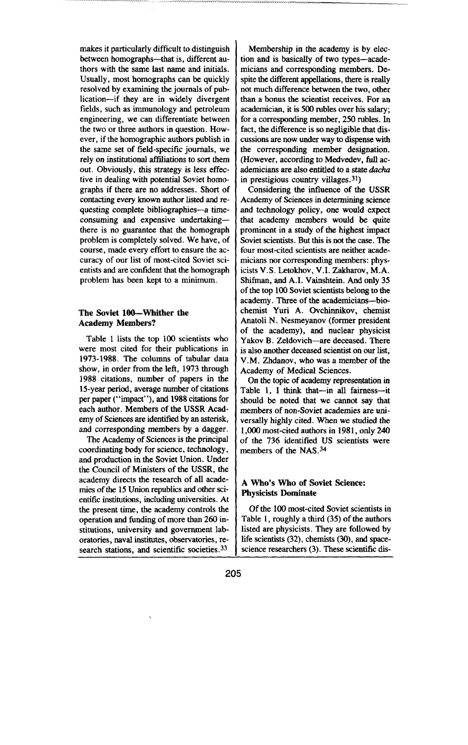makes it particularly difficult to distinguish **between** homographs—that is, different authors with the same last name and initials. Usually, most homographs can be quickly resolved by examining the journals of publication—if they are in widely divergent fields, such as immunology and petroleum engineering, we can differentiate between the two or three authors in question. However, if the homographic authors publish in the same set of field-specific journals, we rely on institutional affiliations to sort them out. Obviously, this strategy is less effective in dealing with potential Soviet homographs if there are no addresses. Short of contacting every known author listed and requesting complete bibliographies-a timeconsuming and expensive undertaking there is no guarantee that the homograph problem is completely solved. We have, of course, made every effort to ensure the accuracy of our list of most-cited Soviet scientists and are confident that the homograph problem has been kept to a minimum.

### **The Soviet 100-WMther the Academy Members?**

**Table 1 lists the top 100 scientists who were most cited for** their publications in 1973-1988. The columns of tabular data show, in order from the left, 1973 through 1988 citations, number of papers in the 15-year period, average number of citations per paper (''impact''), and 1988 citations for each author. Members of the USSR Academy of Sciences are identified by an asterisk, and corresponding members by a dagger.

The Academy of Sciences is the principal coordinating body for science, technology, and production in the Soviet Union. Under the Council of Ministers of the USSR, the academy directs the research of all academies of the 15 Union republics and other scientific institutions, including universities. At the present time, the academy controls the operation and funding of more than 260 institutions, university and government laboratories, naval institutes, observatories, research stations, and scientific societies.<sup>33</sup>

Membership in the academy is by election and is basically of two types-academicians and corresponding members. Despite the different appellations, there is really not much difference between the two, other than a bonus the scientist receives. For an academician, it is 500 rubles over his salary; for a corresponding member, 250 rubles. In fact, the difference is so negligible that discussions are now under way to dispense with the corresponding member designation. (However, according to Medvedev, full academicians are also entitled to a state dacha in prestigious country villages. $31$ )

Considering the influence of the USSR Academy of Sciences in determining science and technology policy, one would expect that academy members would be quite prominent in a study of the highest impact Soviet scientists. But this is not the case. The four most-cited scientists are neither academicians nor corresponding members: physicists V.S. Letokhov, V.I. Zakharov, M.A. Shifman, and A.I. Vainshtein. And only 35 of the top 100 Soviet scientists belong to the academy. Three of the academicians-biochemist Yuri A. Ovchinnikov, chemist Anatoli N. Nesmeyanov (former president of the academy), and nuclear physicist Yakov B. Zeldovich—are deceased. There is also another deceased scientist on our list, V.M. Zhdanov, who was a member of the Academy of Medical Sciences.

On the topic of academy representation in Table 1, I think that-in all fairness-it should be noted that we cannot say that members of non-Soviet academies are universally highly cited. When we studied the 1,000 most-cited authors in 1981, only 240 of the 736 identified US scientists were members of the NAS. 34

# A **Who's Who** of Soviet Science: **Physicists Dominate**

Of the 100 most-cited Soviet scientists in Table 1, roughly a third (35) of the authors listed are physicists. They are followed by life scientists (32), chemists (30), and spacescience researchers (3). These scientific dis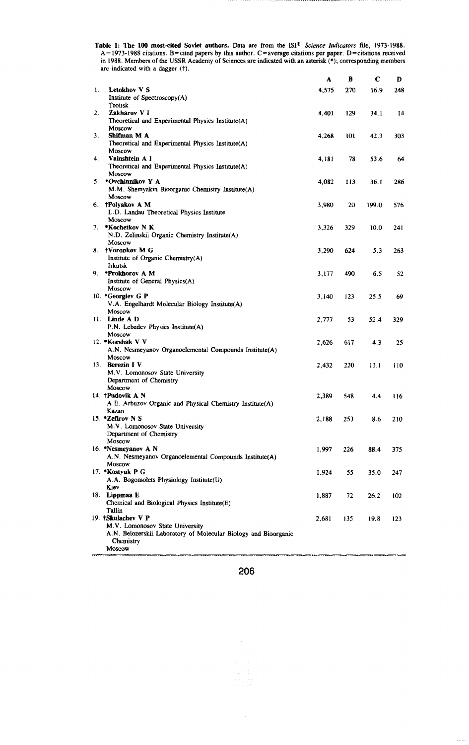Table 1: The 100 most-cited Soviet authors. Data are from the ISI<sup>®</sup> Science Indicators file, 1973-1988.  $A = 1973-1988$  citations. B=cited papers by this author. C=average citations per paper. D=citations received in 1988. Members of the USSR Academy of Sciences are indicated with an asterisk (\*); corresponding members are indicated with a dagger (t).

|    |                                                                                                                                                 | A     | B   | С     | D   |
|----|-------------------------------------------------------------------------------------------------------------------------------------------------|-------|-----|-------|-----|
| 1. | Letokhov V S<br>Institute of Spectroscopy(A)                                                                                                    | 4,575 | 270 | 16.9  | 248 |
| 2. | Troitsk<br>Zakharov VI                                                                                                                          | 4,401 | 129 | 34.1  | 14  |
| 3. | Theoretical and Experimental Physics Institute(A)<br>Moscow<br>Shifman M A                                                                      | 4,268 | 101 | 42.3  | 303 |
|    | Theoretical and Experimental Physics Institute(A)<br>Moscow                                                                                     |       |     |       |     |
| 4. | Vainshtein A I<br>Theoretical and Experimental Physics Institute(A)<br>Moscow                                                                   | 4,181 | 78  | 53.6  | 64  |
| 5. | *Ovchinnikov Y A<br>M.M. Shemyakin Bioorganic Chemistry Institute(A)<br>Moscow                                                                  | 4,082 | 113 | 36.1  | 286 |
|    | 6. †Polyakov A M<br>L.D. Landau Theoretical Physics Institute                                                                                   | 3,980 | 20  | 199.0 | 576 |
| 7. | Moscow<br>*Kochetkov N K<br>N.D. Zelinskii Organic Chemistry Institute(A)                                                                       | 3,326 | 329 | 10.0  | 241 |
|    | Moscow<br>8. †Voronkov M G<br>Institute of Organic Chemistry(A)                                                                                 | 3,290 | 624 | 5.3   | 263 |
|    | Irkutsk<br>9. *Prokhorov A M<br>Institute of General Physics(A)                                                                                 | 3,177 | 490 | 6.5   | 52  |
|    | Moscow<br>10. *Georgiev G P<br>V.A. Engelhardt Molecular Biology Institute(A)                                                                   | 3,140 | 123 | 25.5  | 69  |
|    | Moscow<br>11. Linde A D<br>P.N. Lebedev Physics Institute(A)                                                                                    | 2.777 | 53  | 52.4  | 329 |
|    | Moscow<br>12. *Korshak V V<br>A.N. Nesmeyanov Organoelemental Compounds Institute(A)                                                            | 2.626 | 617 | 4.3   | 25  |
|    | Moscow<br>13. Berezin I V<br>M.V. Lomonosov State University                                                                                    | 2.432 | 220 | 11.1  | 110 |
|    | Department of Chemistry<br>Moscow<br>14. †Pudovik A N                                                                                           | 2,389 | 548 | 4.4   | 116 |
|    | A.E. Arbuzov Organic and Physical Chemistry Institute(A)<br>Kazan                                                                               |       |     |       |     |
|    | 15. *Zefirov N S<br>M.V. Lomonosov State University<br>Department of Chemistry                                                                  | 2.188 | 253 | 8.6   | 210 |
|    | Moscow<br>16. *Nesmeyanov A N<br>A.N. Nesmeyanov Organoelemental Compounds Institute(A)                                                         | 1,997 | 226 | 88.4  | 375 |
|    | Moscow<br>17. *Kostyuk P G<br>A.A. Bogomolets Physiology Institute(U)                                                                           | 1,924 | 55  | 35.0  | 247 |
|    | Kiev<br>18. Lippmaa E<br>Chemical and Biological Physics Institute(E)                                                                           | 1,887 | 72  | 26.2  | 102 |
|    | Tallin<br>19. †Skulachev V P<br>M.V. Lomonosov State University<br>A.N. Belozerskii Laboratory of Molecular Biology and Bioorganic<br>Chemistry | 2.681 | 135 | 19.8  | 123 |
|    | Moscow                                                                                                                                          |       |     |       |     |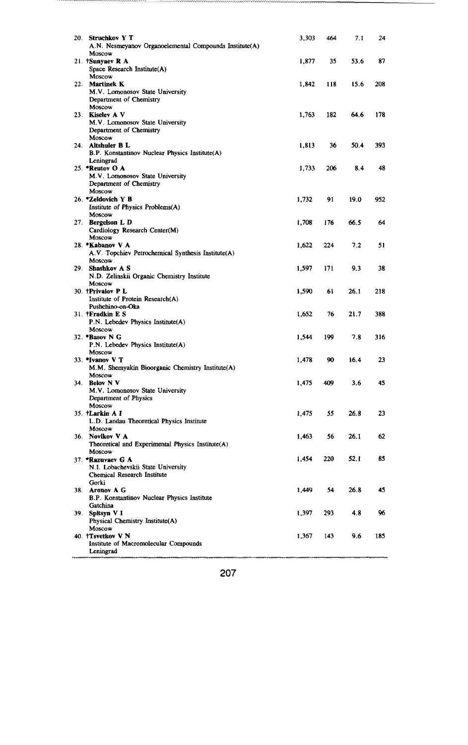| 20. | <b>Struchkov Y T</b><br>A.N. Nesmeyanov Organoelemental Compounds Institute(A)                  | 3,303 | 464 | 7.1  | 24  |
|-----|-------------------------------------------------------------------------------------------------|-------|-----|------|-----|
|     | Moscow<br>21. †Sunyaev R A<br>Space Research Institute(A)                                       | 1,877 | 35  | 53.6 | 87  |
|     | Moscow<br>22. Martinek K<br>M.V. Lomonosov State University                                     | 1,842 | 118 | 15.6 | 208 |
|     | Department of Chemistry<br>Moscow<br>23. Kiselev A V<br>M.V. Lomonosov State University         | 1,763 | 182 | 64.6 | 178 |
|     | Department of Chemistry<br>Moscow<br>24. Altshuler B L                                          | 1,813 | 36  | 50.4 | 393 |
|     | B.P. Konstantinov Nuclear Physics Institute(A)<br>Leningrad                                     |       |     |      |     |
|     | 25. *Reutov O A<br>M.V. Lomonosov State University<br>Department of Chemistry<br>Moscow         | 1,733 | 206 | 8.4  | 48  |
|     | 26. *Zeldovich Y B<br>Institute of Physics Problems(A)<br>Moscow                                | 1,732 | 91  | 19.0 | 952 |
| 27. | Bergelson L D<br>Cardiology Research Center(M)<br>Moscow                                        | 1,708 | 176 | 66.5 | 64  |
|     | 28. *Kabanov V A<br>A.V. Topchiev Petrochemical Synthesis Institute(A)                          | 1,622 | 224 | 7.2  | 51  |
| 29. | Moscow<br>Shashkov A S<br>N.D. Zelinskii Organic Chemistry Institute                            | 1,597 | 171 | 9.3  | 38  |
|     | Moscow<br>30. †Privalov P L<br>Institute of Protein Research(A)                                 | 1,590 | 61  | 26.1 | 218 |
|     | Pushchino-on-Oka<br>31. †Fradkin E S<br>P.N. Lebedev Physics Institute(A)                       | 1,652 | 76  | 21.7 | 388 |
|     | Moscow<br>32. *Basov N G<br>P.N. Lebedev Physics Institute(A)                                   | 1,544 | 199 | 7.8  | 316 |
|     | Moscow<br>33. "Ivanov V T<br>M.M. Shemyakin Bioorganic Chemistry Institute(A)                   | 1,478 | 90  | 16.4 | 23  |
|     | Moscow<br>34. Belov N V<br>M.V. Lomonosov State University                                      | 1,475 | 409 | 3.6  | 45  |
|     | Department of Physics<br>Moscow<br>35. †Larkin A I<br>L.D. Landau Theoretical Physics Institute | 1,475 | 55  | 26.8 | 23  |
|     | Moscow<br>36. Novikov V A<br>Theoretical and Experimental Physics Institute(A)                  | 1,463 | 56  | 26.1 | 62  |
|     | Moscow<br>37. *Razuvaev G A<br>N.I. Lobachevskii State University                               | 1,454 | 220 | 52.1 | 85  |
|     | Chemical Research Institute<br>Gorki<br>38. Aronov A G                                          | 1.449 | 54  | 26.8 | 45  |
|     | B.P. Konstantinov Nuclear Physics Institute<br>Gatchina<br>39. Spitsyn V I                      | 1,397 | 293 | 4.8  | 96  |
|     | Physical Chemistry Institute(A)<br>Moscow<br>40. †Tsvetkov V N                                  | 1,367 | 143 | 9.6  | 185 |
|     | Institute of Macromolecular Compounds<br>Leningrad                                              |       |     |      |     |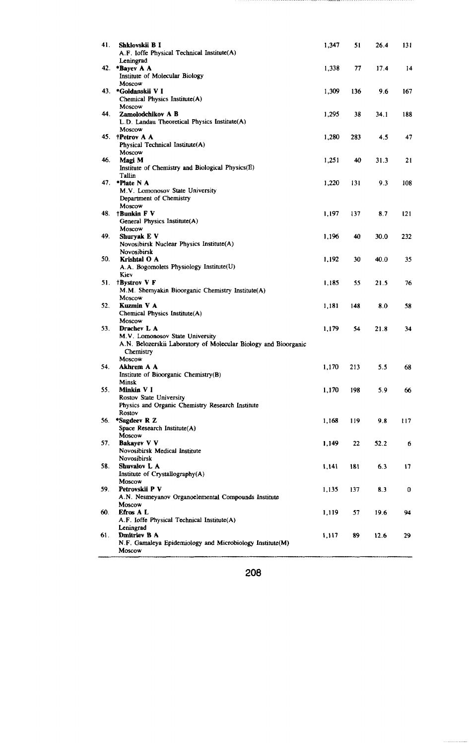| 41. | Shklovskii B I<br>A.F. Ioffe Physical Technical Institute(A)<br>Leningrad                                                   | 1.347 | 51  | 26.4 | 131 |
|-----|-----------------------------------------------------------------------------------------------------------------------------|-------|-----|------|-----|
| 42. | *Bayev A A<br>Institute of Molecular Biology                                                                                | 1,338 | 77  | 17.4 | 14  |
|     | Moscow<br>43. *Goldanskii VI<br>Chemical Physics Institute(A)                                                               | 1,309 | 136 | 9.6  | 167 |
| 44. | Moscow<br>Zamolodchikov A B<br>L.D. Landau Theoretical Physics Institute(A)                                                 | 1,295 | 38  | 34.1 | 188 |
|     | Moscow<br>45. †Petrov A A<br>Physical Technical Institute(A)                                                                | 1,280 | 283 | 4.5  | 47  |
| 46. | Moscow<br>Magi M<br>Institute of Chemistry and Biological Physics(E)                                                        | 1.251 | 40  | 31.3 | 21  |
| 47. | Tallin<br>*Plate N A<br>M.V. Lomonosov State University                                                                     | 1,220 | 131 | 9.3  | 108 |
| 48. | Department of Chemistry<br>Moscow<br>†Bunkin F V<br>General Physics Institute(A)                                            | 1,197 | 137 | 8.7  | 121 |
| 49. | Moscow<br>Shuryak E V<br>Novosibirsk Nuclear Physics Institute(A)                                                           | 1,196 | 40  | 30.0 | 232 |
| 50. | Novosibirsk<br>Krishtal O A<br>A.A. Bogomolets Physiology Institute(U)                                                      | 1,192 | 30  | 40.0 | 35  |
| 51. | Kiev<br>†Bystrov V F<br>M.M. Shemyakin Bioorganic Chemistry Institute(A)                                                    | 1,185 | 55  | 21.5 | 76  |
| 52. | Moscow<br>Kuzmin V A<br>Chemical Physics Institute(A)                                                                       | 1.181 | 148 | 8.0  | 58  |
| 53. | Moscow<br>Drachev L A<br>M.V. Lomonosov State University<br>A.N. Belozerskii Laboratory of Molecular Biology and Bioorganic | 1,179 | 54  | 21.8 | 34  |
| 54. | Chemistry<br>Moscow<br>Akhrem A A                                                                                           | 1,170 | 213 | 5.5  | 68  |
|     | Institute of Bioorganic Chemistry(B)<br>Minsk                                                                               |       |     |      |     |
| 55. | Minkin V I<br>Rostov State University<br>Physics and Organic Chemistry Research Institute                                   | 1,170 | 198 | 5.9  | 66  |
| 56. | Rostov<br>*Sagdeev R Z<br>Space Research Institute(A)<br>Moscow                                                             | 1,168 | 119 | 9.8  | 117 |
| 57. | Bakayev V V<br>Novosibirsk Medical Institute<br>Novosibirsk                                                                 | 1,149 | 22  | 52.2 | 6   |
| 58. | Shuvalov L A<br>Institute of Crystallography(A)<br>Moscow                                                                   | 1.141 | 181 | 6.3  | 17  |
| 59. | Petrovskii P V<br>A.N. Nesmeyanov Organoelemental Compounds Institute<br>Moscow                                             | 1,135 | 137 | 8.3  | 0   |
| 60. | Efros A L<br>A.F. Ioffe Physical Technical Institute(A)<br>Leningrad                                                        | 1,119 | 57  | 19.6 | 94  |
| 61. | Dmitriev B A<br>N.F. Gamaleya Epidemiology and Microbiology Institute(M)<br>Moscow                                          | 1,117 | 89  | 12.6 | 29  |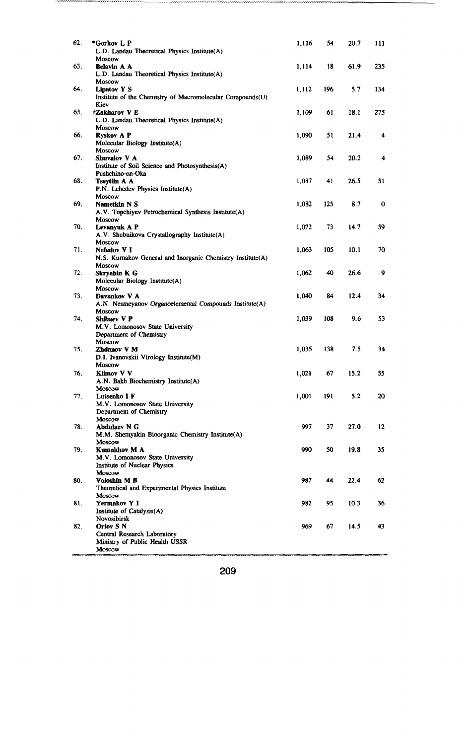| 62. | *Gorkov L P<br>L.D. Landau Theoretical Physics Institute(A)                               | 1,116 | 54  | 20.7 | 111 |
|-----|-------------------------------------------------------------------------------------------|-------|-----|------|-----|
| 63. | Moscow<br><b>Belavin A A</b><br>L.D. Landau Theoretical Physics Institute(A)              | 1,114 | 18  | 61.9 | 235 |
| 64. | Moscow<br><b>Lipatov Y S</b><br>Institute of the Chemistry of Macromolecular Compounds(U) | 1,112 | 196 | 5.7  | 134 |
| 65. | Kiev<br><b>†Zakharov V E</b><br>L.D. Landau Theoretical Physics Institute(A)              | 1,109 | 61  | 18.1 | 275 |
| 66. | Moscow<br><b>Ryskov A P</b><br>Molecular Biology Institute(A)                             | 1,090 | 51  | 21.4 | 4   |
| 67. | Moscow<br>Shuvalov V A<br>Institute of Soil Science and Photosynthesis(A)                 | 1,089 | 54  | 20.2 | 4   |
| 68. | Pushchino-on-Oka<br>Tseytlin A A<br>P.N. Lebedev Physics Institute(A)                     | 1,087 | 41  | 26.5 | 51  |
| 69. | Moscow<br>Nametkin N S<br>A.V. Topchiyev Petrochemical Synthesis Institute(A)             | 1,082 | 125 | 8.7  | 0   |
| 70. | Moscow<br>Levanyuk A P<br>A.V. Shubnikova Crystallography Institute(A)                    | 1,072 | 73  | 14.7 | 59  |
| 71. | Moscow<br>Nefedov VI<br>N.S. Kurnakov General and Inorganic Chemistry Institute(A)        | 1,063 | 105 | 10.1 | 70  |
| 72. | Moscow<br>Skryabin K G<br>Molecular Biology Institute(A)                                  | 1,062 | 40  | 26.6 | 9   |
| 73. | Moscow<br>Davankov V A<br>A.N. Nesmeyanov Organoelemental Compounds Institute(A)          | 1,040 | 84  | 12.4 | 34  |
| 74. | Moscow<br>Shibaev V P<br>M.V. Lomonosov State University<br>Department of Chemistry       | 1,039 | 108 | 9.6  | 53  |
| 75. | Moscow<br>Zhdanov V M<br>D.I. Ivanovskii Virology Institute(M)                            | 1,035 | 138 | 7.5  | 34  |
| 76. | Moscow<br><b>Klimov V V</b><br>A.N. Bakh Biochemistry Institute(A)                        | 1,021 | 67  | 15.2 | 55  |
| 77. | Moscow<br>Lutsenko I F<br>M.V. Lomonosov State University                                 | 1,001 | 191 | 5.2  | 20  |
| 78. | Department of Chemistry<br>Moscow<br>Abdulaev N G                                         | 997   | 37  | 27.0 | 12  |
| 79. | M.M. Shemyakin Bioorganic Chemistry Institute(A)<br>Moscow<br><b>Kumakhov M A</b>         | 990   | 50  | 19.8 | 35  |
|     | M.V. Lomonosov State University<br>Institute of Nuclear Physics<br>Moscow                 |       |     |      |     |
| 80. | Voloshin M B<br>Theoretical and Experimental Physics Institute<br>Moscow                  | 987   | 44  | 22.4 | 62  |
| 81. | Yermakov Y I<br>Institute of Catalysis(A)<br><b>Novosibirsk</b>                           | 982   | 95  | 10.3 | 36  |
| 82. | Orlov S N<br>Central Research Laboratory<br>Ministry of Public Health USSR<br>Moscow      | 969   | 67  | 14.5 | 43  |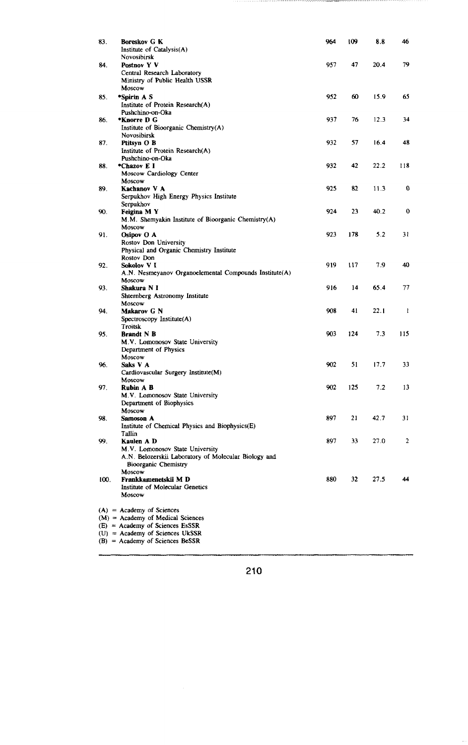| 83.  | <b>Boreskov G K</b><br>Institute of Catalysis(A)<br>Novosibirsk                                                                                                                   | 964 | 109 | 8.8  | 46          |
|------|-----------------------------------------------------------------------------------------------------------------------------------------------------------------------------------|-----|-----|------|-------------|
| 84.  | Postnov Y V<br>Central Research Laboratory<br>Ministry of Public Health USSR<br>Moscow                                                                                            | 957 | 47  | 20.4 | 79          |
| 85.  | *Spirin A S<br>Institute of Protein Research(A)                                                                                                                                   | 952 | 60  | 15.9 | 65          |
| 86.  | Pushchino-on-Oka<br>*Knorre D G<br>Institute of Bioorganic Chemistry(A)                                                                                                           | 937 | 76  | 12.3 | 34          |
| 87.  | Novosibirsk<br>Ptitsyn O B<br>Institute of Protein Research(A)                                                                                                                    | 932 | 57  | 16.4 | 48          |
| 88.  | Pushchino-on-Oka<br>*Chazov E I<br>Moscow Cardiology Center                                                                                                                       | 932 | 42  | 22.2 | 118         |
| 89.  | Moscow<br>Kachanov V A<br>Serpukhov High Energy Physics Institute                                                                                                                 | 925 | 82  | 11.3 | 0           |
| 90.  | Serpukhov<br>Feigina M Y<br>M.M. Shemyakin Institute of Bioorganic Chemistry(A)                                                                                                   | 924 | 23  | 40.2 | $\mathbf 0$ |
| 91.  | Moscow<br>Osipov O A<br>Rostov Don University                                                                                                                                     | 923 | 178 | 5.2  | 31          |
|      | Physical and Organic Chemistry Institute<br>Rostov Don                                                                                                                            |     |     |      |             |
| 92.  | Sokolov VI<br>A.N. Nesmeyanov Organoelemental Compounds Institute(A)<br>Moscow                                                                                                    | 919 | 117 | 7.9  | 40          |
| 93.  | Shakura N I<br>Shternberg Astronomy Institute<br>Moscow                                                                                                                           | 916 | 14  | 65.4 | 77          |
| 94.  | Makarov G N<br>Spectroscopy Institute(A)<br>Troitsk                                                                                                                               | 908 | 41  | 22.1 | 1           |
| 95.  | <b>Brandt N B</b><br>M.V. Lomonosov State University<br>Department of Physics                                                                                                     | 903 | 124 | 7.3  | 115         |
| 96.  | Moscow<br>Saks V A<br>Cardiovascular Surgery Institute(M)                                                                                                                         | 902 | 51  | 17.7 | 33          |
| 97.  | Moscow<br>Rubin A B<br>M.V. Lomonosov State University                                                                                                                            | 902 | 125 | 7.2  | 13          |
| 98.  | Department of Biophysics<br>Moscow<br>Samoson A                                                                                                                                   | 897 | 21  | 42.7 | 31          |
| 99.  | Institute of Chemical Physics and Biophysics(E)<br>Tallin<br>Kaulen A D                                                                                                           | 897 | 33  | 27.0 | 2           |
|      | M.V. Lomonosov State University<br>A.N. Belozerskii Laboratory of Molecular Biology and<br><b>Bioorganic Chemistry</b>                                                            |     |     |      |             |
| 100. | Moscow<br>Frankkamenetskii M D<br>Institute of Molecular Genetics<br>Moscow                                                                                                       | 880 | 32  | 27.5 | 44          |
|      | $(A)$ = Academy of Sciences<br>$(M)$ = Academy of Medical Sciences<br>$(E)$ = Academy of Sciences EsSSR<br>$(U)$ = Academy of Sciences UkSSR<br>$(B)$ = Academy of Sciences BeSSR |     |     |      |             |

------

...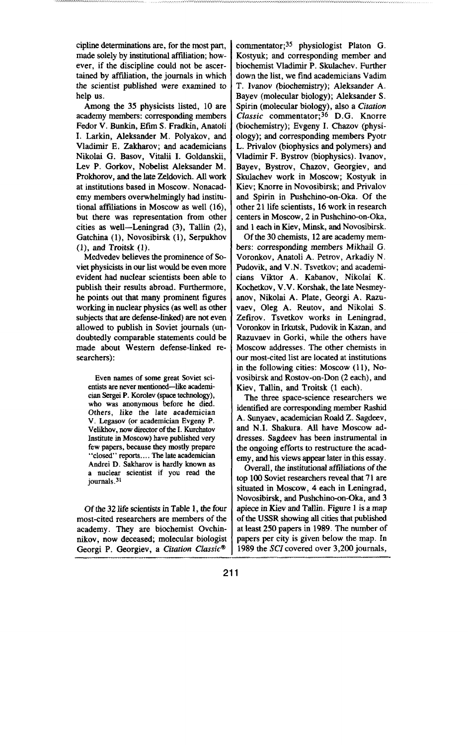cipline determinations are, for the most part, made solely by institutional affiliation; however, if the discipline could not be ascertained by affiliation, the journals in which the scientist published were examined to help us.

Among the 35 physicists listed, 10 are academy members: corresponding members Fedor V. Bunkin, Efim S. Fradkin, Anatoli I. Larkin, Aleksander M. Polyakov, and Vladimir E. Zakharov; and academicians Nikolai G. Basov, Vitalii I. Goldanskii, Lev P. Gorkov, Nobelist Aleksander M. Prokhorov, and the late Zeldovich. All work at institutions based in Moscow. Nonacademy members overwhelmingly had institutional affiliations in Moscow as well (16), but there was representation from other cities as well—Leningrad (3), Tallin (2), Gatchina (1), Novosibirsk (1), Serpukhov (l), and Troitsk (l).

Medvedev believes the prominence of Soviet physicists in our list would be even more evident had nuclear scientists been able to publish their results abroad. Furthermore, he points out that many prominent figures working in nuclear physics (as well as other subjects that are defense-linked) are not even allowed to publish in Soviet journals (undoubtedly comparable statements could be made about Western defense-linked researchers):

**Even names of some great Soviet sci** $entists$  are never mentioned-like academi**cian Sergei P. Korolev (space technology), who was anonymous before he died. Others, like the Iate academician V, Legasov (or academician Evgeny P. Velildmv, now director of the I. Kurchatov Institute in Moscow) have published very few papers, because they mostfy prepare "closed" repxta.... The late academician Andrei D. Sakharov is hardly known as a nuclear scientist if you read the journais.3}**

Of the **32 life** scientistsin Table 1, the four most-cited researchers are members of the academy. They are biochemist Ovchinnikov, now deceased; molecular biologist Georgi P. Georgiev, a *Citation Classic"*

commentator;<sup>35</sup> physiologist Platon G. Kostyuk; and corresponding member and biochemist Vladimir P. Skulachev. Further down the list, we find academicians Vadim T. Ivanov (biochemistry); Aleksander A. Bayev (molecular biology); Aleksander S. Spirin (molecular biology), also a *Citation* Classic commentator:<sup>36</sup> D.G. Knorre (biochemistry); Evgeny 1. Chazov (physiology); and corresponding members Pyotr L. Privalov (biophysics and polymers) and Vladimir F. Bystrov (biophysics). Ivanov, Bayev, Bystrov, Chazov, Georgiev, and Skulachev work in Moscow; Kostyuk in Kiev; Knorre in Novosibirsk; and Privalov and Spirin in Pushchino-on-Oka. Of the other 21 life scientists, 16 work in research centers in Moscow, 2 in Pushchino-on-Oka, and 1each in Kiev, Minsk, and Novosibirsk.

Of the 30 chemists, 12 are academy members: corresponding members Mikhail G. Voronkov, Anatoli A. Petrov, Arkadiy N. Pudovik, and V.N. Tsvetkov; and academicians Viktor A. Kabanov, Nikolai K. Kochetkov, V.V. Korshak, the late Nesmeyanov, Nikolai A. Plate, Georgi A. Razuvaev, Oleg A. Reutov, and Nikolai S. Zefirov. Tsvetkov works in Leningrad, Voronkov in Irkutsk, Pudovik in Kazan, and Razuvaev in Gorki, while the others have Moscow addresses. The other chemists in our most-cited list are located at institutions in the following cities: Moscow (11), Novosibirsk and Rostov-on-Don (2 each), and Kiev, Tallin, and Troitsk (1 each).

The three space-science researchers we identified are corresponding member Rashid A. Sunyaev, academician Roald Z. Sagdeev, and N.1. Shakura. All have Moscow addresses, Sagdeev has been instrumental in the ongoing efforts to restructure the academy, and his views appear later in this essay.

Overall, the institutional affiliations of the top 100 Soviet researchers reveal that 71 are situated in Moscow, 4 each in Leningrad, Novosibirsk, and Pushchino-on-Oka, and 3 apiece in Kiev and Tallin. Figure 1 is a map of the USSR showing all cities that published at least 250 papers in 1989. The number of papers per city is given below the map. In 1989 the SCI covered over 3,200 journals,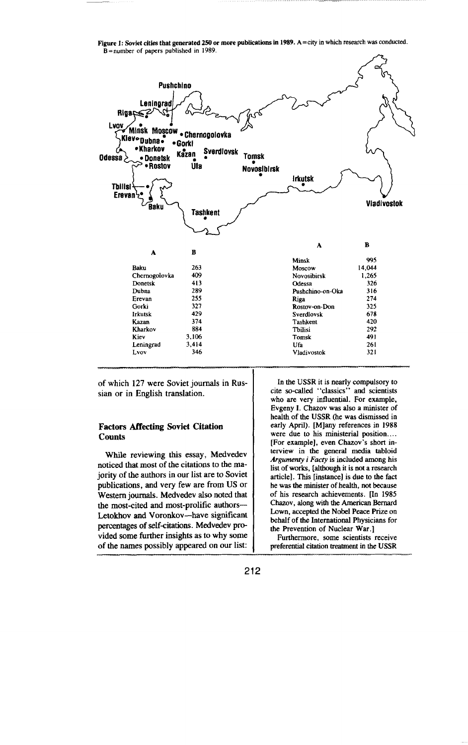Figure 1: Soviet cities that generated 250 or more publications in 1989.  $A = city$  in which research was conducted. B **=number of papers published**in 1989.



of which 127 were Soviet journals in Russian or in English translation.

### **Factors Affecting Soviet Citation Counts**

While reviewing this essay, Medvedev noticed that most of the citations to the majority of the authors in our list are to Soviet publications, and very few are from US or Western journals. Medvedev also noted that the most-cited and most-prolific authors— Letokhov and Voronkov-have significant percentages of self-citations. Medvedev provided some further insights as to why some of the names possibly appeared on our list:

**In the USSR it is nearly compulsory to cite so-called "classics" and scientists who are very influential. For example, Evgeny 1. Chazov was also a minister of health of the USSR (he was dismissed in early April). [M]any references in 1988 were due to his ministerial position . . . . [For example], even Chazov's short interview** in the **generaf media tabloid** *Argume~ i Fatty is* **included among his list of works, [although it is not a research article]. This [instance] is due to the fact**  $h$ **e** was the minister of health, not because **of his research achievements. ~n 1985 Chazov, along with the American Bernard** Lown, accepted the Nobel Peace Prize on **behalf of the Intemationaf Physicians for the Prevention of Nuclear War.]**

**Furthermore, some scientists receive preferential citation treafment in the USSR**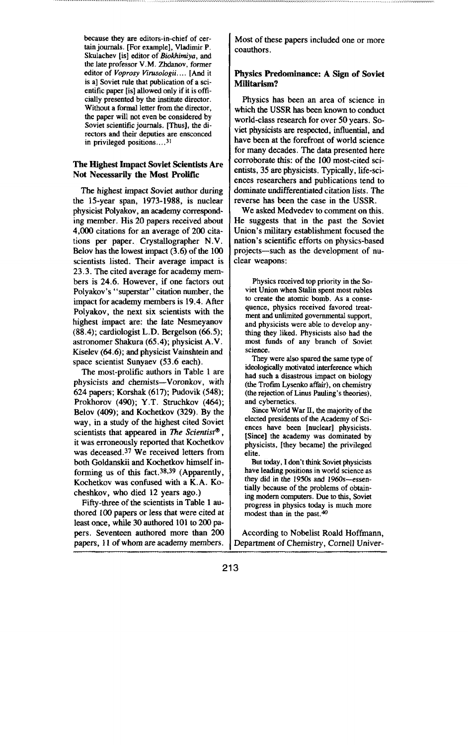**because they are editors-in-chief of certain journals. [For example], Vladiir P. Skulachev [is] editor of** *Biokhimiya,* **and the late professor V. M. Zhdanov, former**  $editor$  **of** *Voprosy Virusologii....* [And it **is a] Soviet rufe that publication of a scientific paper [is] allowed only if it is officially presented by the institute dmector. Without a formal letter from the director, the paper will not even be considered by Soviet scientific journals. [Thus], the directors and their deputies are ensconced in privileged positions ... .31**

### **The Highest Impact Soviet Scientists Are Not Necessarily the Most Prolific**

The highest impact Soviet author during the 15-year span, 1973-1988, is nuclear physicist Polyakov, an academy corresponding member. His 20 papers received about 4,000 citations for an average of 200 citations per paper. Crystallographer N.V, Belov has the lowest impact (3.6) of the 100 scientists listed. Their average impact is 23.3. The cited average for academy members is 24.6. However, if one factors out Polyakov's' 'superstar" citation number, the impact for academy members is 19.4. After Polyakov, the next six scientists with the highest impact are: the late Nesmeyanov  $(88.4)$ ; cardiologist L.D. Bergelson  $(66.5)$ ; astronomer Shakura (65.4); physicist A.V. Kiselev (64.6); and physicist Vainshtein and space scientist Sunyaev (53.6 each).

The most-prolific authors in Table 1 are physicists and chemists-Voronkov, with 624 papers; Korshak (617); Pudovik (548); Prokhorov (490); **Y** .T. Struchkov (464); Belov (409); and Kochetkov (329). By the way, in a study of the highest cited Soviet scientists that appeared in *The Scientist®*, **it** was erroneously reported that Kochetkov was deceased.<sup>37</sup> We received letters from both Goldanskii and Kochetkov himself informing us of this fact.<sup>38,39</sup> (Apparently, Kochetkov was confused with a K.A. Kocheshkov, who died **12 years ago.)**

**Fifty-three of the** scientists in Table 1 authored 100 papers or less that were cited at least once, while 30 authored 101 to 200 papers. Seventeen authored more than **200** papers, 11 of whom are academy members.

**Most** of these papers included one or more coauthors.

# **Physics Predominance: A Sign of Soviet Militarism?**

Physics has been an area of science in which the USSR has been known to conduct world-class research for over 50 years. Soviet physicists are respected, influential, and have been at the forefront of world science for many decades. The data presented here corroborate this: of the 100 most-cited scientists, 35 are physicists. Typically, life-sciences researchers and publications tend to dominate undifferentiated citation lists. The reverse has been the case in the USSR.

We asked Medvedev to comment on this. He suggests that in the past the Soviet Union's military establishment focused the nation's scientific efforts on physics-based projects—such as the development of nu clear weapons:

**Physics received top priority in the Soviet Union when Stalin spent most mbles**  $\mathbf{t}$  **to create** the **atomic** bomb. As a conse**quence, physics received favored treatment and unfimited govermnentd support, and physicists were able to develop anything they liked. Physicists also had the most fnnds of any branch of Soviet science.**

**They were also spared the same type of idczrlogically motivated interference which had such a disastrous impact on biology (the Trofirn Lysenko affair), on chemistry (the rejection of Linus Pauling's theories), and cybernetics,**

**Since World War II, the majority of the elected presidents of the Academy of Sciences have been [nuclear] physicists. [Since] the academy was dominated by physicists, [they became] the privileged elite.**

**But tcday, I don't think Soviet physicists have leading positions in world science as they did in the 1950s and 1960s-essen** $t$ ially because of the problems of obtain**ing modem computers. flue to this, Soviet progress in physics today is much more modest than in the past.\***

According to Nobelist Roald Hoffmann, Department of Chemistry, Come]] Univer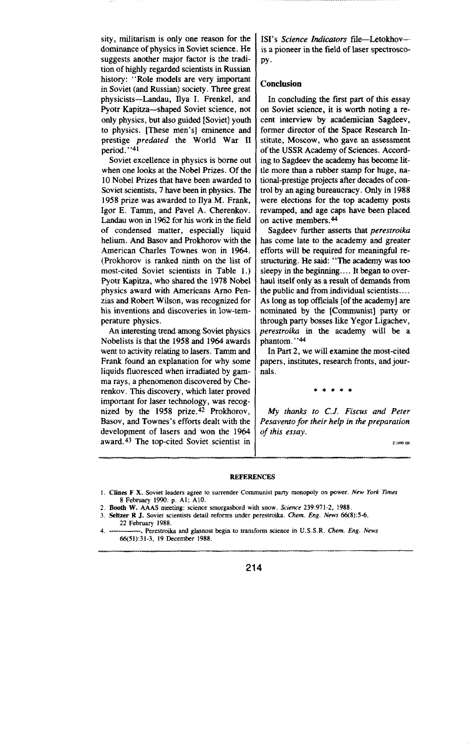sity, militarism is only one reason for the dominance of physics in Soviet science. He suggests another major factor is the tradition of highly regarded scientists in Russian history: "Role models are very important in Soviet (and Russian) society. Three great physicists—Landau, Ilya I. Frenkel, and Pyotr Kapitza-shaped Soviet science, not onfy physics, but also guided [Soviet] youth to physics. [These men's] eminence and prestige *predated* the World War II period.' '41

Soviet excellence in physics is borne out when one looks at the Nobel Prizes. Of the 10 Nobel Prizes that have been awarded to Soviet scientists, 7 have been in physics. The 1958 prize was awarded to Ilya M. Frank, Igor E. Tamm, and Pavel A. Cherenkov. Landau won in 1962 for his work in the field of condensed matter, especially liquid helium. And Basov and Prokhorov with the American Charles Townes won in **1964.** (Prokhorov is ranked ninth on the list of most-cited Soviet scientists in Table 1.) Pyotr Kapitza, who shared the 1978 Nobel physics award with Americans Amo Penzias and Robert Wilson, was recognized for his inventions and discoveries in low-temperature physics.

An interesting trend among Soviet physics Nobelists is that the 1958 and 1964 awards went to activity relating to lasers. Tamm and Frank found an explanation for why some liquids fluoresced when irradiated by gamma rays, a phenomenon discovered by Cherenkov. This discovery, which later proved important for laser technology, was recognized by the 1958 prize.<sup>42</sup> Prokhorov, Basov, and Townes's efforts dealt with the development of lasers and won the 1964 award. 43 The top-cited Soviet scientist in 1SI's *Science Indicators* file-Letokhovis a pioneer in the field of laser spectroscopy.

#### **Conclusion**

In concluding the first part of this essay on Soviet science, it is worth noting a recent interview by academician Sagdeev, former director of the Space Research Institute, Moscow, who gave an assessment of the USSR Academy of Sciences. According to Sagdeev the academy has become little more than a rubber stamp for huge, national-prestige projects after decades of control by an aging bureaucracy. Only in 1988 were elections for the top academy posts revamped, and age caps have been placed on active members.<sup>44</sup>

Sagdeev further asserts that *perestroik* has come late to the academy and greater efforts will be required for meaningful restructuring. He said: "The academy was too sleepy in the beginning.... It began to overhaul itself only as a result of demands from the public and from individual scientists .... As long as top officials [of the academy] are nominated by the [Communist] party or through party bosses like Yegor Ligachev, **perestroika** in the academy will be a phantom."<sup>44</sup>

In Part 2, we will examine the most-cited papers, institutes, research fronts, and journals.

\*\*\*\*\*

*My thanks to C.J. Fiscus and Peter Pesavento for their help in the preparation of this* essay.

 $2:$  1990 191

#### **REFERENCES**

<sup>1.</sup> Clines F X. Soviet leaders agree to surrender Communist party monopoly on power. New York Times 8 February 1990. p. A1; A10.

<sup>2.</sup> Booth W. AAAS meeting: science smorgasbord with snow. Science 239:971-2, 1988.

<sup>3.</sup> **seltzer R J. Soviet scientists** detail reforms under perestroika. Chem. *Eng. News 66(8):5-6, 22* February 1988.

<sup>4.</sup> -—--—--- Perestroika and glasnost begin to transform science in **U.S.S.R. Chem.** .Eng. News 66(51):31-3, 19 December 1988.